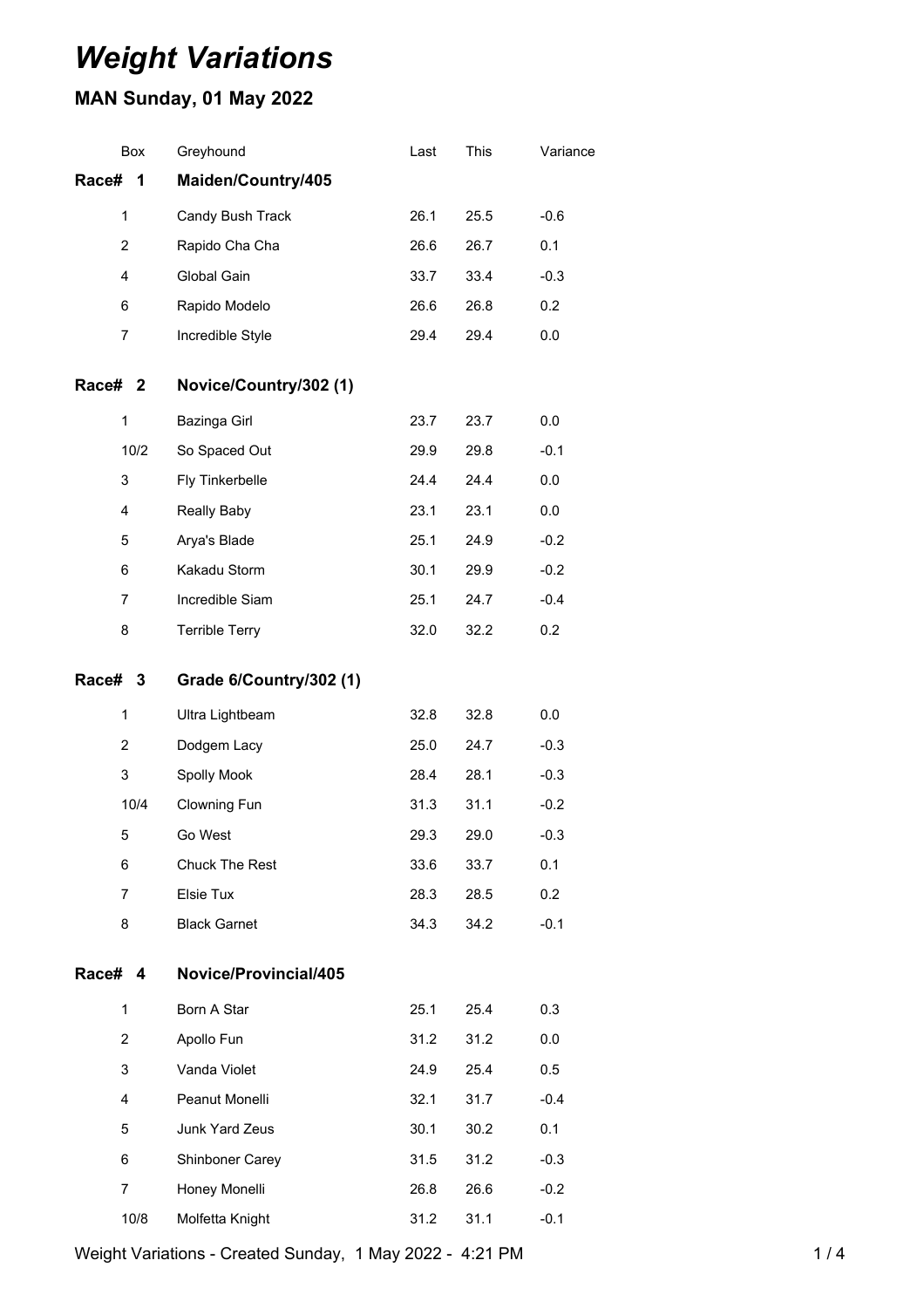# *Weight Variations*

## **MAN Sunday, 01 May 2022**

| Box            |      | Greyhound               | Last | This | Variance |
|----------------|------|-------------------------|------|------|----------|
| Race#          | 1    | Maiden/Country/405      |      |      |          |
| 1              |      | Candy Bush Track        | 26.1 | 25.5 | $-0.6$   |
| $\overline{2}$ |      | Rapido Cha Cha          | 26.6 | 26.7 | 0.1      |
| 4              |      | Global Gain             | 33.7 | 33.4 | $-0.3$   |
| 6              |      | Rapido Modelo           | 26.6 | 26.8 | 0.2      |
| 7              |      | Incredible Style        | 29.4 | 29.4 | 0.0      |
| Race# 2        |      | Novice/Country/302 (1)  |      |      |          |
| 1              |      | Bazinga Girl            | 23.7 | 23.7 | 0.0      |
|                | 10/2 | So Spaced Out           | 29.9 | 29.8 | $-0.1$   |
| 3              |      | Fly Tinkerbelle         | 24.4 | 24.4 | 0.0      |
| 4              |      | Really Baby             | 23.1 | 23.1 | 0.0      |
| 5              |      | Arya's Blade            | 25.1 | 24.9 | $-0.2$   |
| 6              |      | Kakadu Storm            | 30.1 | 29.9 | $-0.2$   |
| $\overline{7}$ |      | Incredible Siam         | 25.1 | 24.7 | $-0.4$   |
| 8              |      | <b>Terrible Terry</b>   | 32.0 | 32.2 | 0.2      |
| Race# 3        |      | Grade 6/Country/302 (1) |      |      |          |
| 1              |      | Ultra Lightbeam         | 32.8 | 32.8 | 0.0      |
| 2              |      | Dodgem Lacy             | 25.0 | 24.7 | $-0.3$   |
| 3              |      | Spolly Mook             | 28.4 | 28.1 | $-0.3$   |
|                | 10/4 | Clowning Fun            | 31.3 | 31.1 | $-0.2$   |
| 5              |      | Go West                 | 29.3 | 29.0 | $-0.3$   |
| 6              |      | Chuck The Rest          | 33.6 | 33.7 | 0.1      |
| $\overline{7}$ |      | Elsie Tux               | 28.3 | 28.5 | 0.2      |
| 8              |      | <b>Black Garnet</b>     | 34.3 | 34.2 | $-0.1$   |
| Race# 4        |      | Novice/Provincial/405   |      |      |          |
| 1              |      | Born A Star             | 25.1 | 25.4 | 0.3      |
| $\overline{2}$ |      | Apollo Fun              | 31.2 | 31.2 | 0.0      |
| 3              |      | Vanda Violet            | 24.9 | 25.4 | 0.5      |
| 4              |      | Peanut Monelli          | 32.1 | 31.7 | $-0.4$   |
| 5              |      | Junk Yard Zeus          | 30.1 | 30.2 | 0.1      |
| 6              |      | Shinboner Carey         | 31.5 | 31.2 | $-0.3$   |
| $\overline{7}$ |      | Honey Monelli           | 26.8 | 26.6 | $-0.2$   |
|                | 10/8 | Molfetta Knight         | 31.2 | 31.1 | $-0.1$   |

Weight Variations - Created Sunday, 1 May 2022 - 4:21 PM 1 1 1 1 1 1 1 1 1 1 4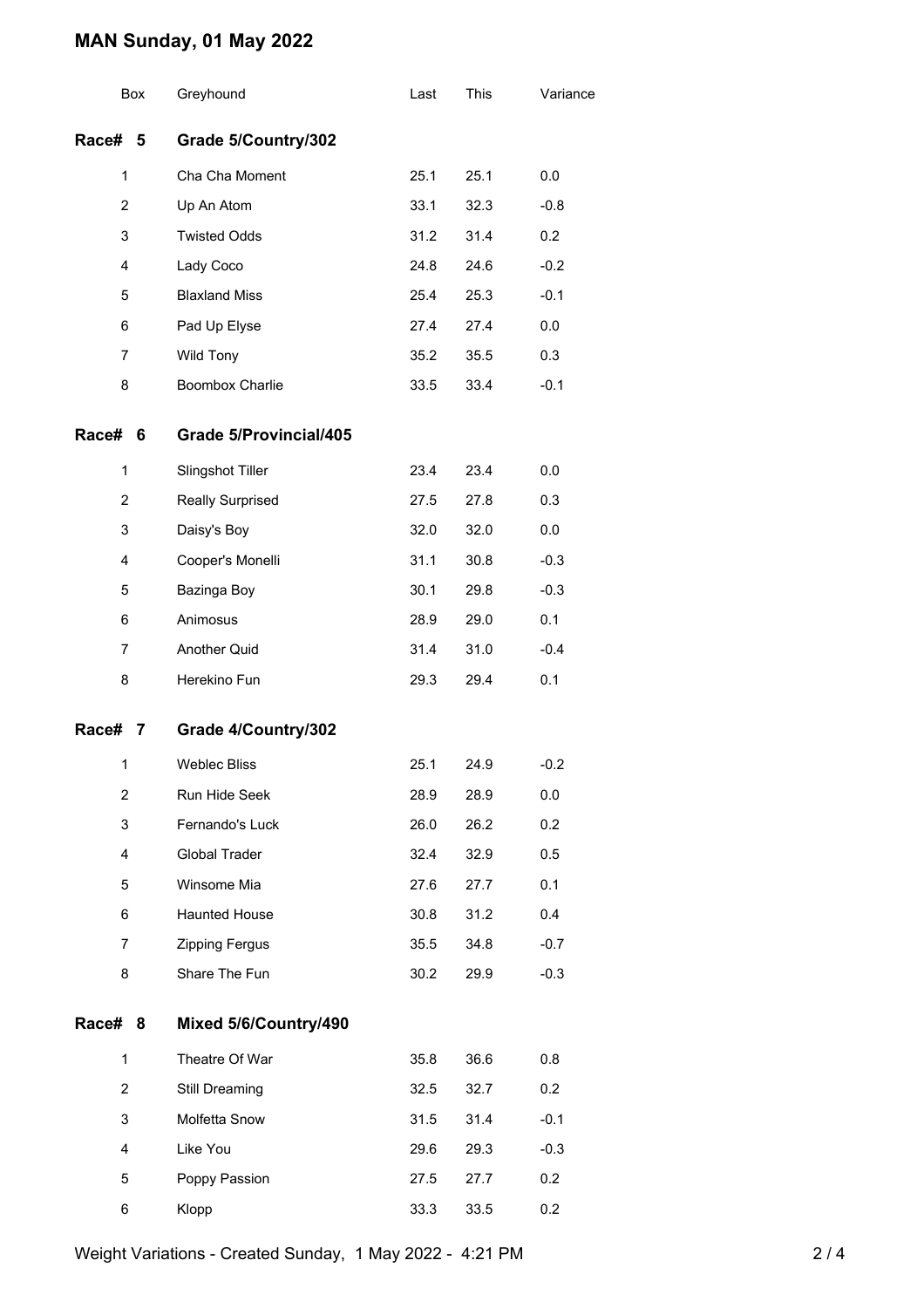### **MAN Sunday, 01 May 2022**

|                | Box | Greyhound                     | Last | This | Variance |
|----------------|-----|-------------------------------|------|------|----------|
| Race# 5        |     | Grade 5/Country/302           |      |      |          |
| 1              |     | Cha Cha Moment                | 25.1 | 25.1 | 0.0      |
| $\overline{2}$ |     | Up An Atom                    | 33.1 | 32.3 | $-0.8$   |
| 3              |     | <b>Twisted Odds</b>           | 31.2 | 31.4 | 0.2      |
| 4              |     | Lady Coco                     | 24.8 | 24.6 | $-0.2$   |
| 5              |     | <b>Blaxland Miss</b>          | 25.4 | 25.3 | $-0.1$   |
| 6              |     | Pad Up Elyse                  | 27.4 | 27.4 | 0.0      |
| 7              |     | Wild Tony                     | 35.2 | 35.5 | 0.3      |
| 8              |     | Boombox Charlie               | 33.5 | 33.4 | $-0.1$   |
| Race# 6        |     | <b>Grade 5/Provincial/405</b> |      |      |          |
| 1              |     | Slingshot Tiller              | 23.4 | 23.4 | 0.0      |
| 2              |     | Really Surprised              | 27.5 | 27.8 | 0.3      |
| 3              |     | Daisy's Boy                   | 32.0 | 32.0 | 0.0      |
| 4              |     | Cooper's Monelli              | 31.1 | 30.8 | $-0.3$   |
| 5              |     | Bazinga Boy                   | 30.1 | 29.8 | $-0.3$   |
| 6              |     | Animosus                      | 28.9 | 29.0 | 0.1      |
| $\overline{7}$ |     | Another Quid                  | 31.4 | 31.0 | $-0.4$   |
| 8              |     | Herekino Fun                  | 29.3 | 29.4 | 0.1      |
| Race# 7        |     | Grade 4/Country/302           |      |      |          |
| 1              |     | <b>Weblec Bliss</b>           | 25.1 | 24.9 | $-0.2$   |
| 2              |     | Run Hide Seek                 | 28.9 | 28.9 | 0.0      |
| 3              |     | Fernando's Luck               | 26.0 | 26.2 | 0.2      |
| 4              |     | Global Trader                 | 32.4 | 32.9 | 0.5      |
| 5              |     | Winsome Mia                   | 27.6 | 27.7 | 0.1      |
| 6              |     | <b>Haunted House</b>          | 30.8 | 31.2 | 0.4      |
| $\overline{7}$ |     | Zipping Fergus                | 35.5 | 34.8 | $-0.7$   |
| 8              |     | Share The Fun                 | 30.2 | 29.9 | $-0.3$   |
| Race# 8        |     | Mixed 5/6/Country/490         |      |      |          |
| 1              |     | Theatre Of War                | 35.8 | 36.6 | 0.8      |
| $\overline{2}$ |     | Still Dreaming                | 32.5 | 32.7 | 0.2      |
| 3              |     | Molfetta Snow                 | 31.5 | 31.4 | $-0.1$   |
| 4              |     | Like You                      | 29.6 | 29.3 | $-0.3$   |
| 5              |     | Poppy Passion                 | 27.5 | 27.7 | 0.2      |
| 6              |     | Klopp                         | 33.3 | 33.5 | 0.2      |

Weight Variations - Created Sunday, 1 May 2022 - 4:21 PM 2 2 / 4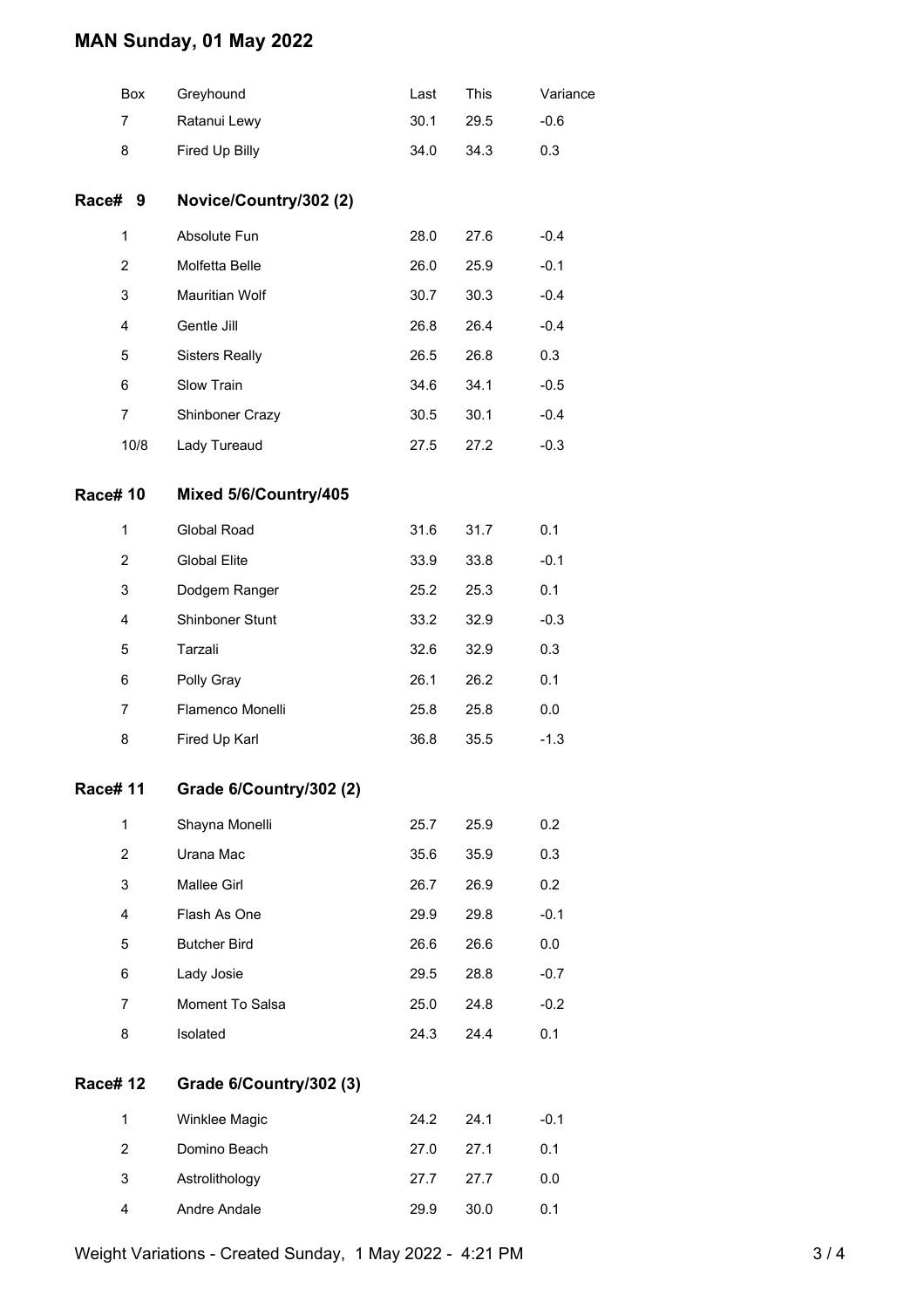### **MAN Sunday, 01 May 2022**

| Box            | Greyhound               | Last | This | Variance |
|----------------|-------------------------|------|------|----------|
| 7              | Ratanui Lewy            | 30.1 | 29.5 | $-0.6$   |
| 8              | Fired Up Billy          | 34.0 | 34.3 | 0.3      |
| Race# 9        | Novice/Country/302 (2)  |      |      |          |
| $\mathbf{1}$   | Absolute Fun            | 28.0 | 27.6 | $-0.4$   |
| 2              | Molfetta Belle          | 26.0 | 25.9 | $-0.1$   |
| 3              | Mauritian Wolf          | 30.7 | 30.3 | $-0.4$   |
| 4              | Gentle Jill             | 26.8 | 26.4 | $-0.4$   |
| 5              | <b>Sisters Really</b>   | 26.5 | 26.8 | 0.3      |
| 6              | Slow Train              | 34.6 | 34.1 | $-0.5$   |
| 7              | Shinboner Crazy         | 30.5 | 30.1 | $-0.4$   |
| 10/8           | Lady Tureaud            | 27.5 | 27.2 | $-0.3$   |
| <b>Race#10</b> | Mixed 5/6/Country/405   |      |      |          |
| $\mathbf{1}$   | Global Road             | 31.6 | 31.7 | 0.1      |
| 2              | <b>Global Elite</b>     | 33.9 | 33.8 | $-0.1$   |
| 3              | Dodgem Ranger           | 25.2 | 25.3 | 0.1      |
| 4              | Shinboner Stunt         | 33.2 | 32.9 | $-0.3$   |
| 5              | Tarzali                 | 32.6 | 32.9 | 0.3      |
| 6              | Polly Gray              | 26.1 | 26.2 | 0.1      |
| 7              | Flamenco Monelli        | 25.8 | 25.8 | 0.0      |
| 8              | Fired Up Karl           | 36.8 | 35.5 | $-1.3$   |
| <b>Race#11</b> | Grade 6/Country/302 (2) |      |      |          |
| $\mathbf{1}$   | Shayna Monelli          | 25.7 | 25.9 | 0.2      |
| $\overline{2}$ | Urana Mac               | 35.6 | 35.9 | 0.3      |
| 3              | Mallee Girl             | 26.7 | 26.9 | 0.2      |
| 4              | Flash As One            | 29.9 | 29.8 | $-0.1$   |
| 5              | <b>Butcher Bird</b>     | 26.6 | 26.6 | 0.0      |
| 6              | Lady Josie              | 29.5 | 28.8 | $-0.7$   |
| $\overline{7}$ | Moment To Salsa         | 25.0 | 24.8 | $-0.2$   |
| 8              | Isolated                | 24.3 | 24.4 | 0.1      |
| <b>Race#12</b> | Grade 6/Country/302 (3) |      |      |          |
| $\mathbf{1}$   | Winklee Magic           | 24.2 | 24.1 | $-0.1$   |
| $\overline{2}$ | Domino Beach            | 27.0 | 27.1 | 0.1      |
| 3              | Astrolithology          | 27.7 | 27.7 | 0.0      |
| 4              | Andre Andale            | 29.9 | 30.0 | 0.1      |

Weight Variations - Created Sunday, 1 May 2022 - 4:21 PM 3/4